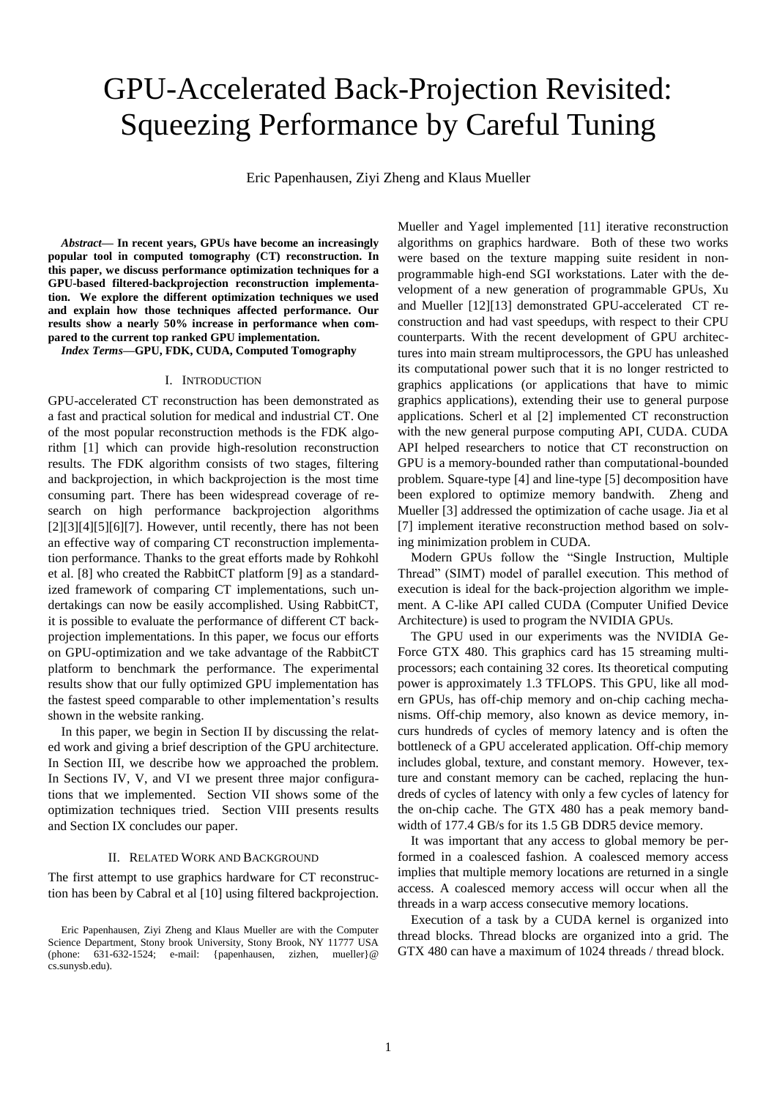# GPU-Accelerated Back-Projection Revisited: Squeezing Performance by Careful Tuning

Eric Papenhausen, Ziyi Zheng and Klaus Mueller

*Abstract***— In recent years, GPUs have become an increasingly popular tool in computed tomography (CT) reconstruction. In this paper, we discuss performance optimization techniques for a GPU-based filtered-backprojection reconstruction implementation. We explore the different optimization techniques we used and explain how those techniques affected performance. Our results show a nearly 50% increase in performance when compared to the current top ranked GPU implementation.** 

*Index Terms***—GPU, FDK, CUDA, Computed Tomography**

#### I. INTRODUCTION

GPU-accelerated CT reconstruction has been demonstrated as a fast and practical solution for medical and industrial CT. One of the most popular reconstruction methods is the FDK algorithm [\[1\]](#page-3-0) which can provide high-resolution reconstruction results. The FDK algorithm consists of two stages, filtering and backprojection, in which backprojection is the most time consuming part. There has been widespread coverage of research on high performance backprojection algorithms  $[2][3][4][5][6][7]$  $[2][3][4][5][6][7]$  $[2][3][4][5][6][7]$ . However, until recently, there has not been an effective way of comparing CT reconstruction implementation performance. Thanks to the great efforts made by Rohkohl et al. [\[8\]](#page-3-4) who created the RabbitCT platform [\[9\]](#page-3-5) as a standardized framework of comparing CT implementations, such undertakings can now be easily accomplished. Using RabbitCT, it is possible to evaluate the performance of different CT backprojection implementations. In this paper, we focus our efforts on GPU-optimization and we take advantage of the RabbitCT platform to benchmark the performance. The experimental results show that our fully optimized GPU implementation has the fastest speed comparable to other implementation's results shown in the website ranking.

In this paper, we begin in Section II by discussing the related work and giving a brief description of the GPU architecture. In Section III, we describe how we approached the problem. In Sections IV, V, and VI we present three major configurations that we implemented. Section VII shows some of the optimization techniques tried. Section VIII presents results and Section IX concludes our paper.

#### II. RELATED WORK AND BACKGROUND

The first attempt to use graphics hardware for CT reconstruction has been by Cabral et al [\[10\]](#page-3-6) using filtered backprojection. Mueller and Yagel implemented [\[11\]](#page-3-7) iterative reconstruction algorithms on graphics hardware. Both of these two works were based on the texture mapping suite resident in nonprogrammable high-end SGI workstations. Later with the development of a new generation of programmable GPUs, Xu and Mueller [\[12\]\[13\]](#page-3-8) demonstrated GPU-accelerated CT reconstruction and had vast speedups, with respect to their CPU counterparts. With the recent development of GPU architectures into main stream multiprocessors, the GPU has unleashed its computational power such that it is no longer restricted to graphics applications (or applications that have to mimic graphics applications), extending their use to general purpose applications. Scherl et al [\[2\]](#page-3-1) implemented CT reconstruction with the new general purpose computing API, CUDA. CUDA API helped researchers to notice that CT reconstruction on GPU is a memory-bounded rather than computational-bounded problem. Square-type [\[4\]](#page-3-2) and line-type [\[5\]](#page-3-9) decomposition have been explored to optimize memory bandwith. Zheng and Mueller [\[3\]](#page-3-10) addressed the optimization of cache usage. Jia et al [\[7\]](#page-3-11) implement iterative reconstruction method based on solving minimization problem in CUDA.

Modern GPUs follow the "Single Instruction, Multiple Thread" (SIMT) model of parallel execution. This method of execution is ideal for the back-projection algorithm we implement. A C-like API called CUDA (Computer Unified Device Architecture) is used to program the NVIDIA GPUs.

The GPU used in our experiments was the NVIDIA Ge-Force GTX 480. This graphics card has 15 streaming multiprocessors; each containing 32 cores. Its theoretical computing power is approximately 1.3 TFLOPS. This GPU, like all modern GPUs, has off-chip memory and on-chip caching mechanisms. Off-chip memory, also known as device memory, incurs hundreds of cycles of memory latency and is often the bottleneck of a GPU accelerated application. Off-chip memory includes global, texture, and constant memory. However, texture and constant memory can be cached, replacing the hundreds of cycles of latency with only a few cycles of latency for the on-chip cache. The GTX 480 has a peak memory bandwidth of 177.4 GB/s for its 1.5 GB DDR5 device memory.

It was important that any access to global memory be performed in a coalesced fashion. A coalesced memory access implies that multiple memory locations are returned in a single access. A coalesced memory access will occur when all the threads in a warp access consecutive memory locations.

Execution of a task by a CUDA kernel is organized into thread blocks. Thread blocks are organized into a grid. The GTX 480 can have a maximum of 1024 threads / thread block.

Eric Papenhausen, Ziyi Zheng and Klaus Mueller are with the Computer Science Department, Stony brook University, Stony Brook, NY 11777 USA (phone: 631-632-1524; e-mail: {papenhausen, zizhen, mueller}@ cs.sunysb.edu).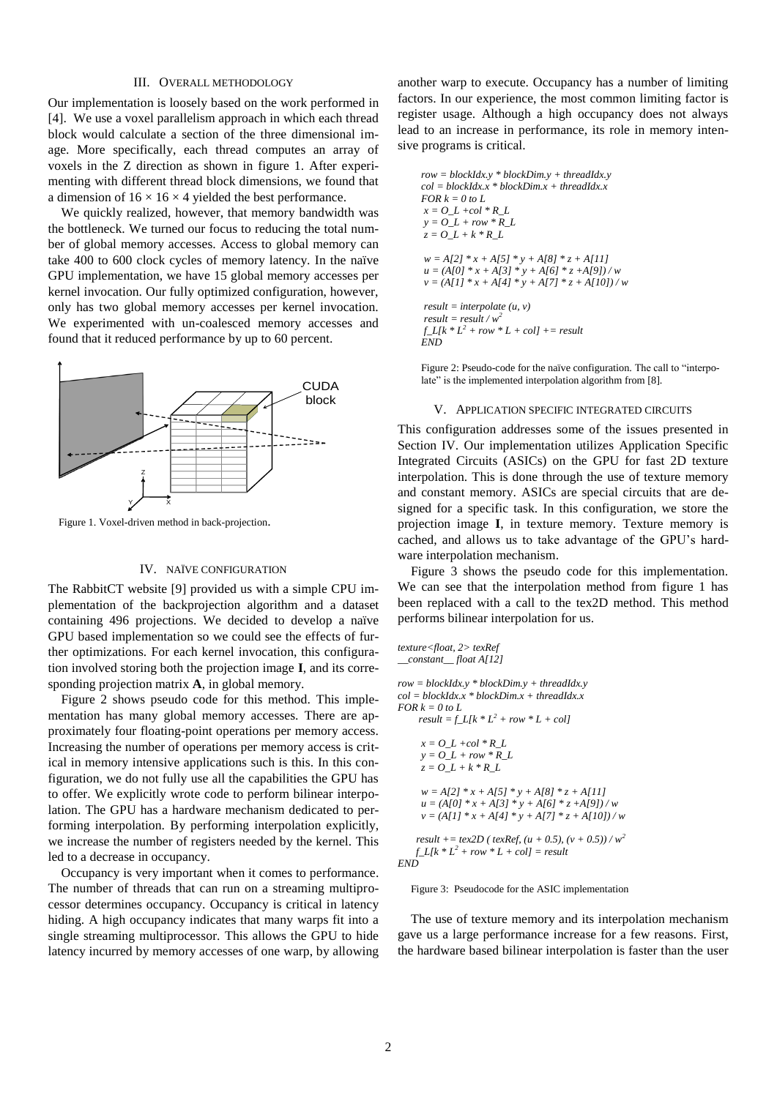### III. OVERALL METHODOLOGY

Our implementation is loosely based on the work performed in [\[4\].](#page-3-2) We use a voxel parallelism approach in which each thread block would calculate a section of the three dimensional image. More specifically, each thread computes an array of voxels in the Z direction as shown in figure 1. After experimenting with different thread block dimensions, we found that a dimension of  $16 \times 16 \times 4$  yielded the best performance.

We quickly realized, however, that memory bandwidth was the bottleneck. We turned our focus to reducing the total number of global memory accesses. Access to global memory can take 400 to 600 clock cycles of memory latency. In the naïve GPU implementation, we have 15 global memory accesses per kernel invocation. Our fully optimized configuration, however, only has two global memory accesses per kernel invocation. We experimented with un-coalesced memory accesses and found that it reduced performance by up to 60 percent.



Figure 1. Voxel-driven method in back-projection.

#### IV. NAÏVE CONFIGURATION

The RabbitCT website [\[9\]](#page-3-5) provided us with a simple CPU implementation of the backprojection algorithm and a dataset containing 496 projections. We decided to develop a naïve GPU based implementation so we could see the effects of further optimizations. For each kernel invocation, this configuration involved storing both the projection image **I**, and its corresponding projection matrix **A**, in global memory.

Figure 2 shows pseudo code for this method. This implementation has many global memory accesses. There are approximately four floating-point operations per memory access. Increasing the number of operations per memory access is critical in memory intensive applications such is this. In this configuration, we do not fully use all the capabilities the GPU has to offer. We explicitly wrote code to perform bilinear interpolation. The GPU has a hardware mechanism dedicated to performing interpolation. By performing interpolation explicitly, we increase the number of registers needed by the kernel. This led to a decrease in occupancy.

Occupancy is very important when it comes to performance. The number of threads that can run on a streaming multiprocessor determines occupancy. Occupancy is critical in latency hiding. A high occupancy indicates that many warps fit into a single streaming multiprocessor. This allows the GPU to hide latency incurred by memory accesses of one warp, by allowing another warp to execute. Occupancy has a number of limiting factors. In our experience, the most common limiting factor is register usage. Although a high occupancy does not always lead to an increase in performance, its role in memory intensive programs is critical.

*row = blockIdx.y \* blockDim.y + threadIdx.y col = blockIdx.x \* blockDim.x + threadIdx.x*  $FOR k = 0$  to L *x = O\_L +col \* R\_L*  $y = O_L + row * R_L$  $z = O\_L + k * R\_L$ *w = A[2] \* x + A[5] \* y + A[8] \* z + A[11]*  $u = (A[0] * x + A[3] * y + A[6] * z + A[9]) / w$  $v = (A[1] * x + A[4] * y + A[7] * z + A[10]) / w$ *result = interpolate (u, v)*  $result = result / w<sup>2</sup>$  $f_L[k * L^2 + row * L + col] += result$ *END*

Figure 2: Pseudo-code for the naïve configuration. The call to "interpolate" is the implemented interpolation algorithm from [8].

#### V. APPLICATION SPECIFIC INTEGRATED CIRCUITS

This configuration addresses some of the issues presented in Section IV. Our implementation utilizes Application Specific Integrated Circuits (ASICs) on the GPU for fast 2D texture interpolation. This is done through the use of texture memory and constant memory. ASICs are special circuits that are designed for a specific task. In this configuration, we store the projection image **I**, in texture memory. Texture memory is cached, and allows us to take advantage of the GPU's hardware interpolation mechanism.

Figure 3 shows the pseudo code for this implementation. We can see that the interpolation method from figure 1 has been replaced with a call to the tex2D method. This method performs bilinear interpolation for us.

```
texture<float, 2> texRef
__constant__ float A[12]
row = blockIdx.y * blockDim.y + threadIdx.y
col = blockIdx.x * blockDim.x + threadIdx.x
FOR k = 0 to L
     result = f_L[k * L^2 + row * L + col]x = O\_L + col * R\_Ly = O\_L + row * R\_Lz = O_L + k * R_L
     w = A[2] * x + A[5] * y + A[8] * z + A[11]
     u = (A[0] * x + A[3] * y + A[6] * z + A[9]) / wv = (A[1] * x + A[4] * y + A[7] * z + A[10]) / wresult += tex2D ( texRef, (u + 0.5), (v + 0.5)) / w^2f_{L}[k * L^2 + row * L + col] = result
```


### Figure 3: Pseudocode for the ASIC implementation

The use of texture memory and its interpolation mechanism gave us a large performance increase for a few reasons. First, the hardware based bilinear interpolation is faster than the user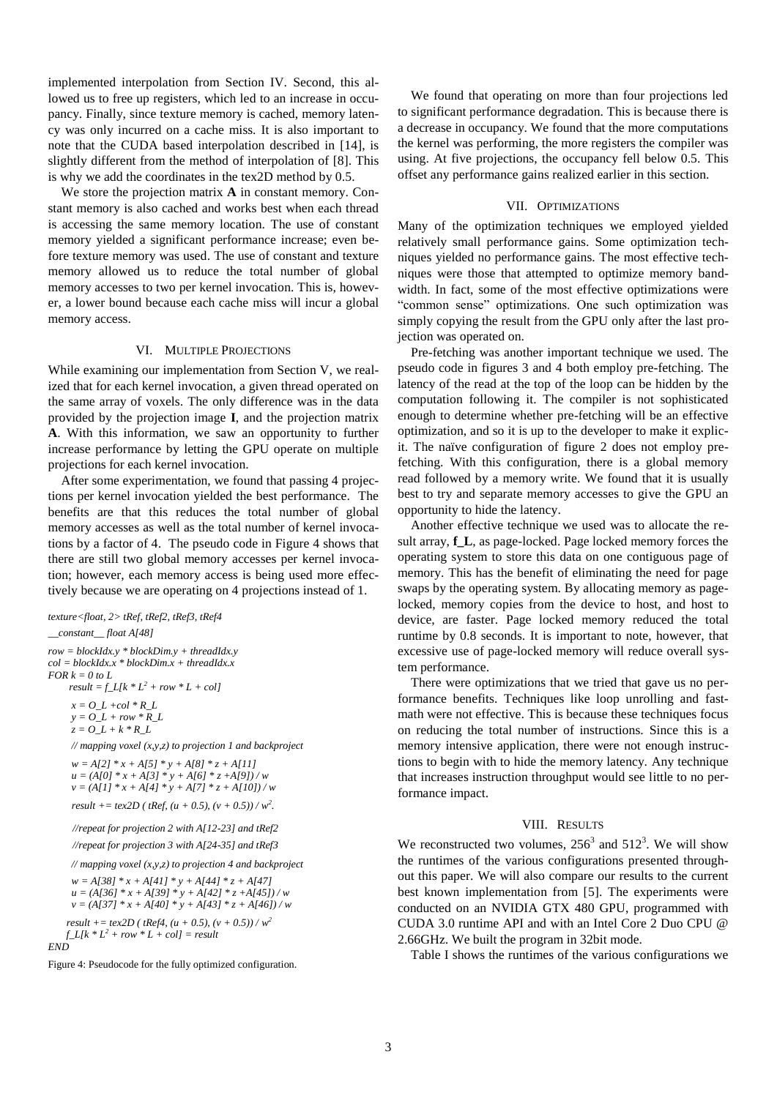implemented interpolation from Section IV. Second, this allowed us to free up registers, which led to an increase in occupancy. Finally, since texture memory is cached, memory latency was only incurred on a cache miss. It is also important to note that the CUDA based interpolation described in [\[14\],](#page-3-12) is slightly different from the method of interpolation of [\[8\].](#page-3-4) This is why we add the coordinates in the tex2D method by 0.5.

We store the projection matrix **A** in constant memory. Constant memory is also cached and works best when each thread is accessing the same memory location. The use of constant memory yielded a significant performance increase; even before texture memory was used. The use of constant and texture memory allowed us to reduce the total number of global memory accesses to two per kernel invocation. This is, however, a lower bound because each cache miss will incur a global memory access.

### VI. MULTIPLE PROJECTIONS

While examining our implementation from Section V, we realized that for each kernel invocation, a given thread operated on the same array of voxels. The only difference was in the data provided by the projection image **I**, and the projection matrix **A**. With this information, we saw an opportunity to further increase performance by letting the GPU operate on multiple projections for each kernel invocation.

After some experimentation, we found that passing 4 projections per kernel invocation yielded the best performance. The benefits are that this reduces the total number of global memory accesses as well as the total number of kernel invocations by a factor of 4. The pseudo code in Figure 4 shows that there are still two global memory accesses per kernel invocation; however, each memory access is being used more effectively because we are operating on 4 projections instead of 1.

*texture<float, 2> tRef, tRef2, tRef3, tRef4 \_\_constant\_\_ float A[48] row = blockIdx.y \* blockDim.y + threadIdx.y col = blockIdx.x \* blockDim.x + threadIdx.x*  $FOR k = 0$  to L  $result = f_L[k * L^2 + row * L + col]$  $x = O\_L + col * R\_L$  $y = O\_L + row * R\_L$  $z = O\_L + k * R\_L$ *// mapping voxel (x,y,z) to projection 1 and backproject w = A[2] \* x + A[5] \* y + A[8] \* z + A[11] u = (A[0] \* x + A[3] \* y + A[6] \* z +A[9]) / w v = (A[1] \* x + A[4] \* y + A[7] \* z + A[10]) / w result* +=  $tex2D (tRef, (u + 0.5), (v + 0.5)) / w^2$ .  *//repeat for projection 2 with A[12-23] and tRef2 //repeat for projection 3 with A[24-35] and tRef3 // mapping voxel (x,y,z) to projection 4 and backproject w = A[38] \* x + A[41] \* y + A[44] \* z + A[47] u = (A[36] \* x + A[39] \* y + A[42] \* z +A[45]) / w v = (A[37] \* x + A[40] \* y + A[43] \* z + A[46]) / w result* += *tex*2D ( *tRef4*,  $(u + 0.5)$ ,  $(v + 0.5)$ ) /  $w^2$  $f_{L}[k * L^{2} + row * L + col] = result$ 

*END*

Figure 4: Pseudocode for the fully optimized configuration.

We found that operating on more than four projections led to significant performance degradation. This is because there is a decrease in occupancy. We found that the more computations the kernel was performing, the more registers the compiler was using. At five projections, the occupancy fell below 0.5. This offset any performance gains realized earlier in this section.

# VII. OPTIMIZATIONS

Many of the optimization techniques we employed yielded relatively small performance gains. Some optimization techniques yielded no performance gains. The most effective techniques were those that attempted to optimize memory bandwidth. In fact, some of the most effective optimizations were "common sense" optimizations. One such optimization was simply copying the result from the GPU only after the last projection was operated on.

Pre-fetching was another important technique we used. The pseudo code in figures 3 and 4 both employ pre-fetching. The latency of the read at the top of the loop can be hidden by the computation following it. The compiler is not sophisticated enough to determine whether pre-fetching will be an effective optimization, and so it is up to the developer to make it explicit. The naïve configuration of figure 2 does not employ prefetching. With this configuration, there is a global memory read followed by a memory write. We found that it is usually best to try and separate memory accesses to give the GPU an opportunity to hide the latency.

Another effective technique we used was to allocate the result array, **f** L, as page-locked. Page locked memory forces the operating system to store this data on one contiguous page of memory. This has the benefit of eliminating the need for page swaps by the operating system. By allocating memory as pagelocked, memory copies from the device to host, and host to device, are faster. Page locked memory reduced the total runtime by 0.8 seconds. It is important to note, however, that excessive use of page-locked memory will reduce overall system performance.

There were optimizations that we tried that gave us no performance benefits. Techniques like loop unrolling and fastmath were not effective. This is because these techniques focus on reducing the total number of instructions. Since this is a memory intensive application, there were not enough instructions to begin with to hide the memory latency. Any technique that increases instruction throughput would see little to no performance impact.

# VIII. RESULTS

We reconstructed two volumes,  $256^3$  and  $512^3$ . We will show the runtimes of the various configurations presented throughout this paper. We will also compare our results to the current best known implementation from [5]. The experiments were conducted on an NVIDIA GTX 480 GPU, programmed with CUDA 3.0 runtime API and with an Intel Core 2 Duo CPU @ 2.66GHz. We built the program in 32bit mode.

Table I shows the runtimes of the various configurations we